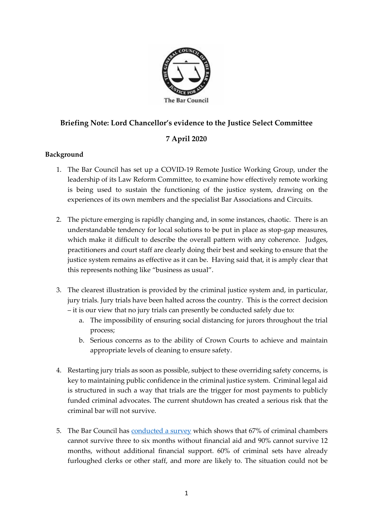

## **Briefing Note: Lord Chancellor's evidence to the Justice Select Committee**

## **7 April 2020**

## **Background**

- 1. The Bar Council has set up a COVID-19 Remote Justice Working Group, under the leadership of its Law Reform Committee, to examine how effectively remote working is being used to sustain the functioning of the justice system, drawing on the experiences of its own members and the specialist Bar Associations and Circuits.
- 2. The picture emerging is rapidly changing and, in some instances, chaotic. There is an understandable tendency for local solutions to be put in place as stop-gap measures, which make it difficult to describe the overall pattern with any coherence. Judges, practitioners and court staff are clearly doing their best and seeking to ensure that the justice system remains as effective as it can be. Having said that, it is amply clear that this represents nothing like "business as usual".
- 3. The clearest illustration is provided by the criminal justice system and, in particular, jury trials. Jury trials have been halted across the country. This is the correct decision – it is our view that no jury trials can presently be conducted safely due to:
	- a. The impossibility of ensuring social distancing for jurors throughout the trial process;
	- b. Serious concerns as to the ability of Crown Courts to achieve and maintain appropriate levels of cleaning to ensure safety.
- 4. Restarting jury trials as soon as possible, subject to these overriding safety concerns, is key to maintaining public confidence in the criminal justice system. Criminal legal aid is structured in such a way that trials are the trigger for most payments to publicly funded criminal advocates. The current shutdown has created a serious risk that the criminal bar will not survive.
- 5. The Bar Council has [conducted a survey](https://www.barcouncil.org.uk/uploads/assets/ee45b8b7-1dbd-40d0-aab7cfb26a2ddd08/Bar-Council-Survey-of-Chambers-Summary-April-2020-Final.pdf) which shows that 67% of criminal chambers cannot survive three to six months without financial aid and 90% cannot survive 12 months, without additional financial support. 60% of criminal sets have already furloughed clerks or other staff, and more are likely to. The situation could not be